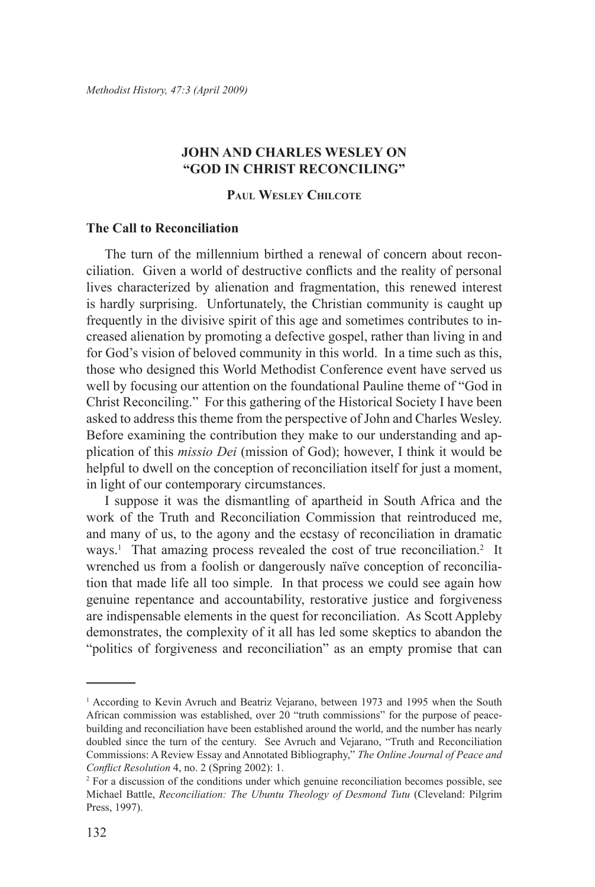# **John and Charles Wesley on "God in Christ Reconciling"**

# **Paul Wesley Chilcote**

# **The Call to Reconciliation**

The turn of the millennium birthed a renewal of concern about reconciliation. Given a world of destructive conflicts and the reality of personal lives characterized by alienation and fragmentation, this renewed interest is hardly surprising. Unfortunately, the Christian community is caught up frequently in the divisive spirit of this age and sometimes contributes to increased alienation by promoting a defective gospel, rather than living in and for God's vision of beloved community in this world. In a time such as this, those who designed this World Methodist Conference event have served us well by focusing our attention on the foundational Pauline theme of "God in Christ Reconciling." For this gathering of the Historical Society I have been asked to address this theme from the perspective of John and Charles Wesley. Before examining the contribution they make to our understanding and application of this *missio Dei* (mission of God); however, I think it would be helpful to dwell on the conception of reconciliation itself for just a moment, in light of our contemporary circumstances.

I suppose it was the dismantling of apartheid in South Africa and the work of the Truth and Reconciliation Commission that reintroduced me, and many of us, to the agony and the ecstasy of reconciliation in dramatic ways.<sup>1</sup> That amazing process revealed the cost of true reconciliation.<sup>2</sup> It wrenched us from a foolish or dangerously naïve conception of reconciliation that made life all too simple. In that process we could see again how genuine repentance and accountability, restorative justice and forgiveness are indispensable elements in the quest for reconciliation. As Scott Appleby demonstrates, the complexity of it all has led some skeptics to abandon the "politics of forgiveness and reconciliation" as an empty promise that can

<sup>1</sup> According to Kevin Avruch and Beatriz Vejarano, between 1973 and 1995 when the South African commission was established, over 20 "truth commissions" for the purpose of peacebuilding and reconciliation have been established around the world, and the number has nearly doubled since the turn of the century. See Avruch and Vejarano, "Truth and Reconciliation Commissions: A Review Essay and Annotated Bibliography," *The Online Journal of Peace and Conflict Resolution* 4, no. 2 (Spring 2002): 1.

<sup>&</sup>lt;sup>2</sup> For a discussion of the conditions under which genuine reconciliation becomes possible, see Michael Battle, *Reconciliation: The Ubuntu Theology of Desmond Tutu* (Cleveland: Pilgrim Press, 1997).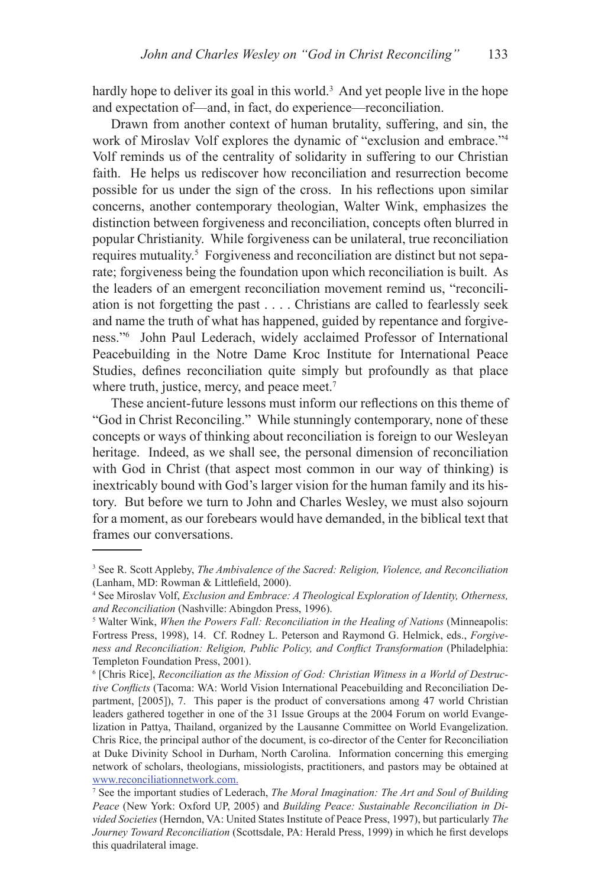hardly hope to deliver its goal in this world.<sup>3</sup> And yet people live in the hope and expectation of—and, in fact, do experience—reconciliation.

Drawn from another context of human brutality, suffering, and sin, the work of Miroslav Volf explores the dynamic of "exclusion and embrace."4 Volf reminds us of the centrality of solidarity in suffering to our Christian faith. He helps us rediscover how reconciliation and resurrection become possible for us under the sign of the cross. In his reflections upon similar concerns, another contemporary theologian, Walter Wink, emphasizes the distinction between forgiveness and reconciliation, concepts often blurred in popular Christianity. While forgiveness can be unilateral, true reconciliation requires mutuality.<sup>5</sup> Forgiveness and reconciliation are distinct but not separate; forgiveness being the foundation upon which reconciliation is built. As the leaders of an emergent reconciliation movement remind us, "reconciliation is not forgetting the past . . . . Christians are called to fearlessly seek and name the truth of what has happened, guided by repentance and forgiveness."6 John Paul Lederach, widely acclaimed Professor of International Peacebuilding in the Notre Dame Kroc Institute for International Peace Studies, defines reconciliation quite simply but profoundly as that place where truth, justice, mercy, and peace meet.<sup>7</sup>

These ancient-future lessons must inform our reflections on this theme of "God in Christ Reconciling." While stunningly contemporary, none of these concepts or ways of thinking about reconciliation is foreign to our Wesleyan heritage. Indeed, as we shall see, the personal dimension of reconciliation with God in Christ (that aspect most common in our way of thinking) is inextricably bound with God's larger vision for the human family and its history. But before we turn to John and Charles Wesley, we must also sojourn for a moment, as our forebears would have demanded, in the biblical text that frames our conversations.

<sup>3</sup> See R. Scott Appleby, *The Ambivalence of the Sacred: Religion, Violence, and Reconciliation*  (Lanham, MD: Rowman & Littlefield, 2000).

<sup>4</sup> See Miroslav Volf, *Exclusion and Embrace: A Theological Exploration of Identity, Otherness, and Reconciliation* (Nashville: Abingdon Press, 1996).

<sup>5</sup> Walter Wink, *When the Powers Fall: Reconciliation in the Healing of Nations* (Minneapolis: Fortress Press, 1998), 14. Cf. Rodney L. Peterson and Raymond G. Helmick, eds., *Forgiveness and Reconciliation: Religion, Public Policy, and Conflict Transformation* (Philadelphia: Templeton Foundation Press, 2001).

<sup>6</sup> [Chris Rice], *Reconciliation as the Mission of God: Christian Witness in a World of Destructive Conflicts* (Tacoma: WA: World Vision International Peacebuilding and Reconciliation Department, [2005]), 7. This paper is the product of conversations among 47 world Christian leaders gathered together in one of the 31 Issue Groups at the 2004 Forum on world Evangelization in Pattya, Thailand, organized by the Lausanne Committee on World Evangelization. Chris Rice, the principal author of the document, is co-director of the Center for Reconciliation at Duke Divinity School in Durham, North Carolina. Information concerning this emerging network of scholars, theologians, missiologists, practitioners, and pastors may be obtained at www.reconciliationnetwork.com.

<sup>7</sup> See the important studies of Lederach, *The Moral Imagination: The Art and Soul of Building Peace* (New York: Oxford UP, 2005) and *Building Peace: Sustainable Reconciliation in Divided Societies* (Herndon, VA: United States Institute of Peace Press, 1997), but particularly *The Journey Toward Reconciliation* (Scottsdale, PA: Herald Press, 1999) in which he first develops this quadrilateral image.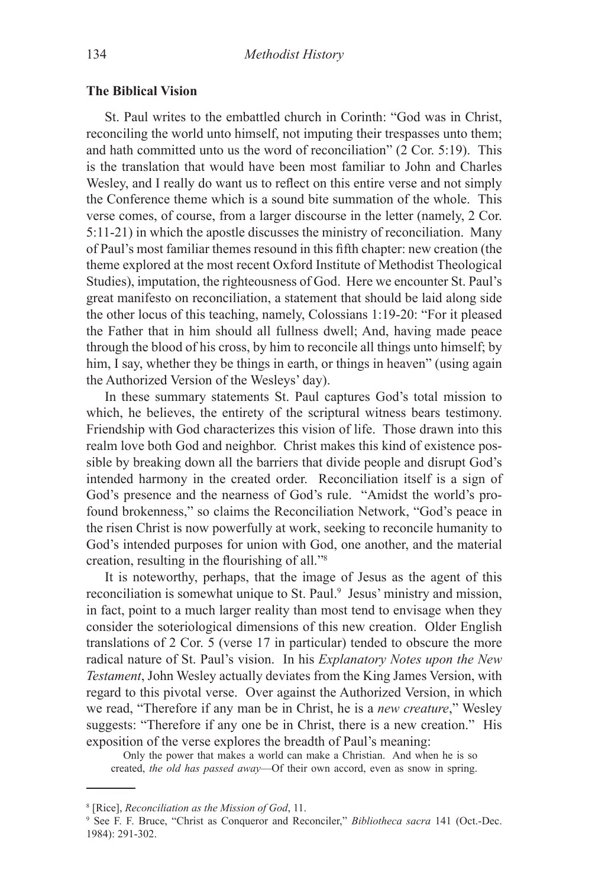#### **The Biblical Vision**

St. Paul writes to the embattled church in Corinth: "God was in Christ, reconciling the world unto himself, not imputing their trespasses unto them; and hath committed unto us the word of reconciliation" (2 Cor. 5:19). This is the translation that would have been most familiar to John and Charles Wesley, and I really do want us to reflect on this entire verse and not simply the Conference theme which is a sound bite summation of the whole. This verse comes, of course, from a larger discourse in the letter (namely, 2 Cor. 5:11-21) in which the apostle discusses the ministry of reconciliation. Many of Paul's most familiar themes resound in this fifth chapter: new creation (the theme explored at the most recent Oxford Institute of Methodist Theological Studies), imputation, the righteousness of God. Here we encounter St. Paul's great manifesto on reconciliation, a statement that should be laid along side the other locus of this teaching, namely, Colossians 1:19-20: "For it pleased the Father that in him should all fullness dwell; And, having made peace through the blood of his cross, by him to reconcile all things unto himself; by him, I say, whether they be things in earth, or things in heaven" (using again the Authorized Version of the Wesleys' day).

In these summary statements St. Paul captures God's total mission to which, he believes, the entirety of the scriptural witness bears testimony. Friendship with God characterizes this vision of life. Those drawn into this realm love both God and neighbor. Christ makes this kind of existence possible by breaking down all the barriers that divide people and disrupt God's intended harmony in the created order. Reconciliation itself is a sign of God's presence and the nearness of God's rule. "Amidst the world's profound brokenness," so claims the Reconciliation Network, "God's peace in the risen Christ is now powerfully at work, seeking to reconcile humanity to God's intended purposes for union with God, one another, and the material creation, resulting in the flourishing of all."<sup>8</sup>

It is noteworthy, perhaps, that the image of Jesus as the agent of this reconciliation is somewhat unique to St. Paul.<sup>9</sup> Jesus' ministry and mission, in fact, point to a much larger reality than most tend to envisage when they consider the soteriological dimensions of this new creation. Older English translations of 2 Cor. 5 (verse 17 in particular) tended to obscure the more radical nature of St. Paul's vision. In his *Explanatory Notes upon the New Testament*, John Wesley actually deviates from the King James Version, with regard to this pivotal verse. Over against the Authorized Version, in which we read, "Therefore if any man be in Christ, he is a *new creature*," Wesley suggests: "Therefore if any one be in Christ, there is a new creation." His exposition of the verse explores the breadth of Paul's meaning:

Only the power that makes a world can make a Christian. And when he is so created, *the old has passed away*—Of their own accord, even as snow in spring.

<sup>8</sup> [Rice], *Reconciliation as the Mission of God*, 11.

<sup>9</sup> See F. F. Bruce, "Christ as Conqueror and Reconciler," *Bibliotheca sacra* 141 (Oct.-Dec. 1984): 291-302.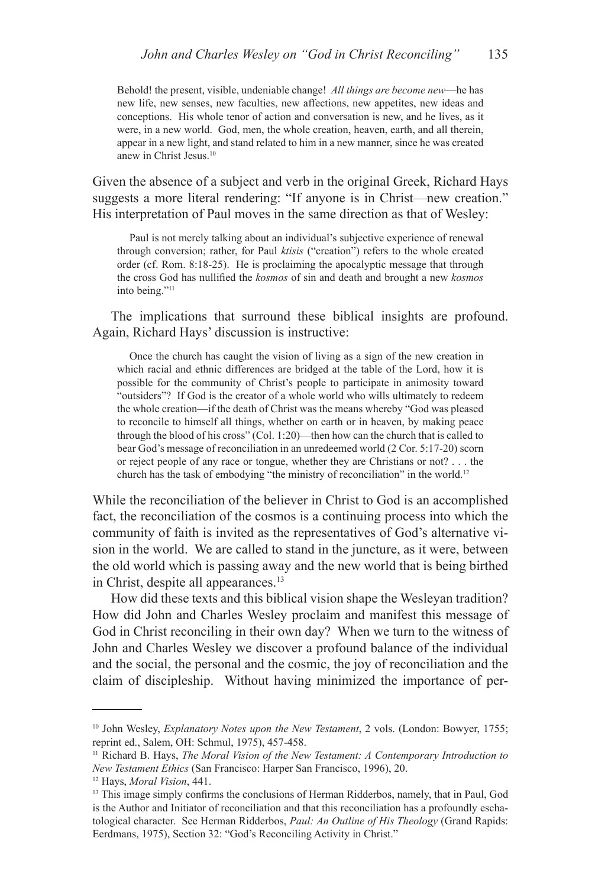Behold! the present, visible, undeniable change! *All things are become new*—he has new life, new senses, new faculties, new affections, new appetites, new ideas and conceptions. His whole tenor of action and conversation is new, and he lives, as it were, in a new world. God, men, the whole creation, heaven, earth, and all therein, appear in a new light, and stand related to him in a new manner, since he was created anew in Christ Jesus.10

Given the absence of a subject and verb in the original Greek, Richard Hays suggests a more literal rendering: "If anyone is in Christ—new creation." His interpretation of Paul moves in the same direction as that of Wesley:

Paul is not merely talking about an individual's subjective experience of renewal through conversion; rather, for Paul *ktisis* ("creation") refers to the whole created order (cf. Rom. 8:18-25). He is proclaiming the apocalyptic message that through the cross God has nullified the *kosmos* of sin and death and brought a new *kosmos* into being."11

The implications that surround these biblical insights are profound. Again, Richard Hays' discussion is instructive:

Once the church has caught the vision of living as a sign of the new creation in which racial and ethnic differences are bridged at the table of the Lord, how it is possible for the community of Christ's people to participate in animosity toward "outsiders"? If God is the creator of a whole world who wills ultimately to redeem the whole creation—if the death of Christ was the means whereby "God was pleased to reconcile to himself all things, whether on earth or in heaven, by making peace through the blood of his cross" (Col.  $1:20$ )—then how can the church that is called to bear God's message of reconciliation in an unredeemed world (2 Cor. 5:17-20) scorn or reject people of any race or tongue, whether they are Christians or not? . . . the church has the task of embodying "the ministry of reconciliation" in the world.12

While the reconciliation of the believer in Christ to God is an accomplished fact, the reconciliation of the cosmos is a continuing process into which the community of faith is invited as the representatives of God's alternative vision in the world. We are called to stand in the juncture, as it were, between the old world which is passing away and the new world that is being birthed in Christ, despite all appearances.<sup>13</sup>

How did these texts and this biblical vision shape the Wesleyan tradition? How did John and Charles Wesley proclaim and manifest this message of God in Christ reconciling in their own day? When we turn to the witness of John and Charles Wesley we discover a profound balance of the individual and the social, the personal and the cosmic, the joy of reconciliation and the claim of discipleship. Without having minimized the importance of per-

<sup>10</sup> John Wesley, *Explanatory Notes upon the New Testament*, 2 vols. (London: Bowyer, 1755; reprint ed., Salem, OH: Schmul, 1975), 457-458.

<sup>11</sup> Richard B. Hays, *The Moral Vision of the New Testament: A Contemporary Introduction to New Testament Ethics* (San Francisco: Harper San Francisco, 1996), 20.

<sup>12</sup> Hays, *Moral Vision*, 441.

<sup>&</sup>lt;sup>13</sup> This image simply confirms the conclusions of Herman Ridderbos, namely, that in Paul, God is the Author and Initiator of reconciliation and that this reconciliation has a profoundly eschatological character. See Herman Ridderbos, *Paul: An Outline of His Theology* (Grand Rapids: Eerdmans, 1975), Section 32: "God's Reconciling Activity in Christ."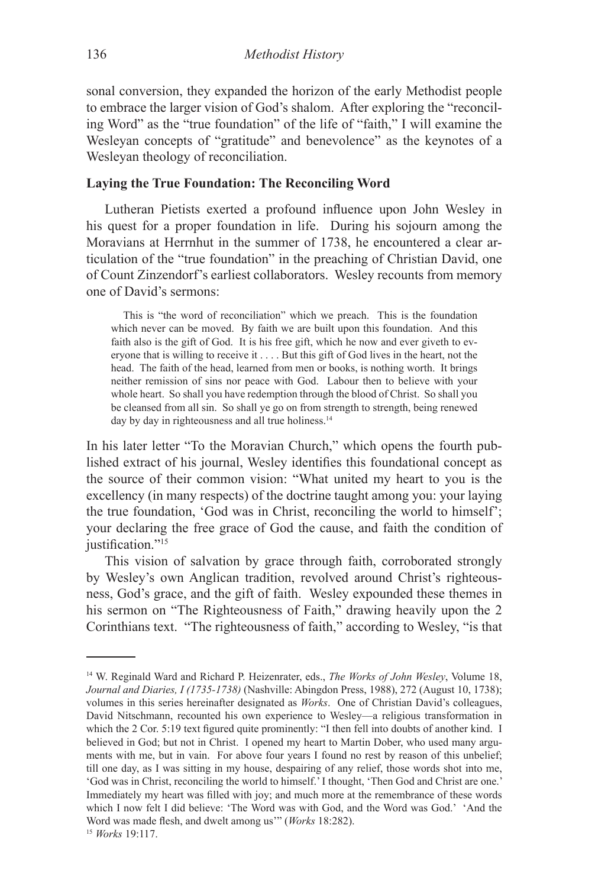sonal conversion, they expanded the horizon of the early Methodist people to embrace the larger vision of God's shalom. After exploring the "reconciling Word" as the "true foundation" of the life of "faith," I will examine the Wesleyan concepts of "gratitude" and benevolence" as the keynotes of a Wesleyan theology of reconciliation.

# **Laying the True Foundation: The Reconciling Word**

Lutheran Pietists exerted a profound influence upon John Wesley in his quest for a proper foundation in life. During his sojourn among the Moravians at Herrnhut in the summer of 1738, he encountered a clear articulation of the "true foundation" in the preaching of Christian David, one of Count Zinzendorf's earliest collaborators. Wesley recounts from memory one of David's sermons:

This is "the word of reconciliation" which we preach. This is the foundation which never can be moved. By faith we are built upon this foundation. And this faith also is the gift of God. It is his free gift, which he now and ever giveth to everyone that is willing to receive it . . . . But this gift of God lives in the heart, not the head. The faith of the head, learned from men or books, is nothing worth. It brings neither remission of sins nor peace with God. Labour then to believe with your whole heart. So shall you have redemption through the blood of Christ. So shall you be cleansed from all sin. So shall ye go on from strength to strength, being renewed day by day in righteousness and all true holiness.<sup>14</sup>

In his later letter "To the Moravian Church," which opens the fourth published extract of his journal, Wesley identifies this foundational concept as the source of their common vision: "What united my heart to you is the excellency (in many respects) of the doctrine taught among you: your laying the true foundation, 'God was in Christ, reconciling the world to himself'; your declaring the free grace of God the cause, and faith the condition of justification."<sup>15</sup>

This vision of salvation by grace through faith, corroborated strongly by Wesley's own Anglican tradition, revolved around Christ's righteousness, God's grace, and the gift of faith. Wesley expounded these themes in his sermon on "The Righteousness of Faith," drawing heavily upon the 2 Corinthians text. "The righteousness of faith," according to Wesley, "is that

<sup>14</sup> W. Reginald Ward and Richard P. Heizenrater, eds., *The Works of John Wesley*, Volume 18, *Journal and Diaries, I (1735-1738)* (Nashville: Abingdon Press, 1988), 272 (August 10, 1738); volumes in this series hereinafter designated as *Works*. One of Christian David's colleagues, David Nitschmann, recounted his own experience to Wesley—a religious transformation in which the 2 Cor. 5:19 text figured quite prominently: "I then fell into doubts of another kind. I believed in God; but not in Christ. I opened my heart to Martin Dober, who used many arguments with me, but in vain. For above four years I found no rest by reason of this unbelief; till one day, as I was sitting in my house, despairing of any relief, those words shot into me, 'God was in Christ, reconciling the world to himself.' I thought, 'Then God and Christ are one.' Immediately my heart was filled with joy; and much more at the remembrance of these words which I now felt I did believe: 'The Word was with God, and the Word was God.' 'And the Word was made flesh, and dwelt among us'" (*Works* 18:282).

<sup>15</sup> *Works* 19:117.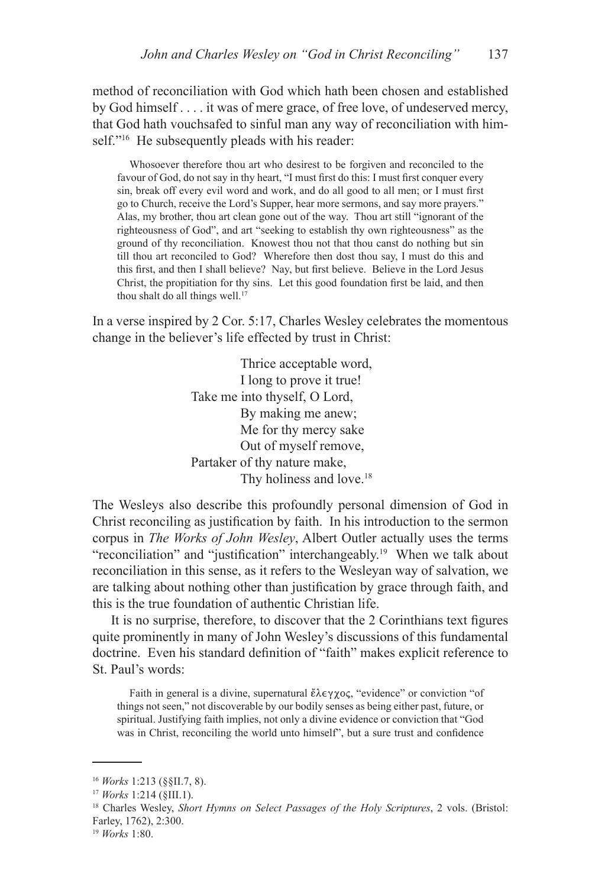method of reconciliation with God which hath been chosen and established by God himself . . . . it was of mere grace, of free love, of undeserved mercy, that God hath vouchsafed to sinful man any way of reconciliation with himself."<sup>16</sup> He subsequently pleads with his reader:

Whosoever therefore thou art who desirest to be forgiven and reconciled to the favour of God, do not say in thy heart, "I must first do this: I must first conquer every sin, break off every evil word and work, and do all good to all men; or I must first go to Church, receive the Lord's Supper, hear more sermons, and say more prayers." Alas, my brother, thou art clean gone out of the way. Thou art still "ignorant of the righteousness of God", and art "seeking to establish thy own righteousness" as the ground of thy reconciliation. Knowest thou not that thou canst do nothing but sin till thou art reconciled to God? Wherefore then dost thou say, I must do this and this first, and then I shall believe? Nay, but first believe. Believe in the Lord Jesus Christ, the propitiation for thy sins. Let this good foundation first be laid, and then thou shalt do all things well.<sup>17</sup>

In a verse inspired by 2 Cor. 5:17, Charles Wesley celebrates the momentous change in the believer's life effected by trust in Christ:

> Thrice acceptable word, I long to prove it true! Take me into thyself, O Lord, By making me anew; Me for thy mercy sake Out of myself remove, Partaker of thy nature make, Thy holiness and love.<sup>18</sup>

The Wesleys also describe this profoundly personal dimension of God in Christ reconciling as justification by faith. In his introduction to the sermon corpus in *The Works of John Wesley*, Albert Outler actually uses the terms "reconciliation" and "justification" interchangeably.19 When we talk about reconciliation in this sense, as it refers to the Wesleyan way of salvation, we are talking about nothing other than justification by grace through faith, and this is the true foundation of authentic Christian life.

It is no surprise, therefore, to discover that the 2 Corinthians text figures quite prominently in many of John Wesley's discussions of this fundamental doctrine. Even his standard definition of "faith" makes explicit reference to St. Paul's words:

Faith in general is a divine, supernatural  $\mathring{\epsilon} \lambda \epsilon \gamma \chi$ oc, "evidence" or conviction "of things not seen," not discoverable by our bodily senses as being either past, future, or spiritual. Justifying faith implies, not only a divine evidence or conviction that "God was in Christ, reconciling the world unto himself", but a sure trust and confidence

<sup>16</sup> *Works* 1:213 (§§II.7, 8).

<sup>17</sup> *Works* 1:214 (§III.1).

<sup>18</sup> Charles Wesley, *Short Hymns on Select Passages of the Holy Scriptures*, 2 vols. (Bristol: Farley, 1762), 2:300.

<sup>19</sup> *Works* 1:80.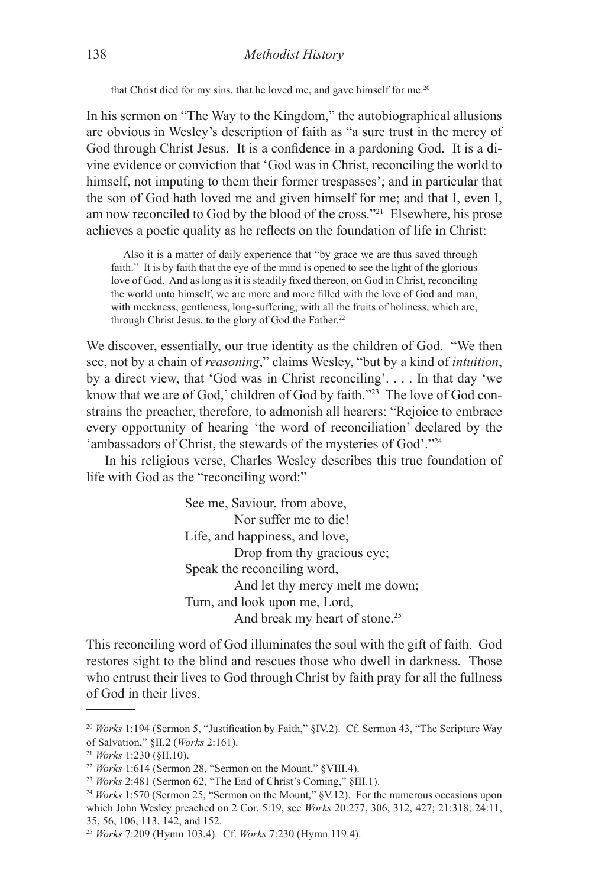that Christ died for my sins, that he loved me, and gave himself for me.<sup>20</sup>

In his sermon on "The Way to the Kingdom," the autobiographical allusions are obvious in Wesley's description of faith as "a sure trust in the mercy of God through Christ Jesus. It is a confidence in a pardoning God. It is a divine evidence or conviction that 'God was in Christ, reconciling the world to himself, not imputing to them their former trespasses'; and in particular that the son of God hath loved me and given himself for me; and that I, even I, am now reconciled to God by the blood of the cross."21 Elsewhere, his prose achieves a poetic quality as he reflects on the foundation of life in Christ:

Also it is a matter of daily experience that "by grace we are thus saved through faith." It is by faith that the eye of the mind is opened to see the light of the glorious love of God. And as long as it is steadily fixed thereon, on God in Christ, reconciling the world unto himself, we are more and more filled with the love of God and man, with meekness, gentleness, long-suffering; with all the fruits of holiness, which are, through Christ Jesus, to the glory of God the Father.<sup>22</sup>

We discover, essentially, our true identity as the children of God. "We then see, not by a chain of *reasoning*," claims Wesley, "but by a kind of *intuition*, by a direct view, that 'God was in Christ reconciling'. . . . In that day 'we know that we are of God,' children of God by faith."<sup>23</sup> The love of God constrains the preacher, therefore, to admonish all hearers: "Rejoice to embrace every opportunity of hearing 'the word of reconciliation' declared by the 'ambassadors of Christ, the stewards of the mysteries of God'."24

In his religious verse, Charles Wesley describes this true foundation of life with God as the "reconciling word:"

> See me, Saviour, from above, Nor suffer me to die! Life, and happiness, and love, Drop from thy gracious eye; Speak the reconciling word, And let thy mercy melt me down; Turn, and look upon me, Lord, And break my heart of stone.<sup>25</sup>

This reconciling word of God illuminates the soul with the gift of faith. God restores sight to the blind and rescues those who dwell in darkness. Those who entrust their lives to God through Christ by faith pray for all the fullness of God in their lives.

<sup>20</sup> *Works* 1:194 (Sermon 5, "Justification by Faith," §IV.2). Cf. Sermon 43, "The Scripture Way of Salvation," §II.2 (*Works* 2:161). 21 *Works* 1:230 (§II.10).

<sup>22</sup> *Works* 1:614 (Sermon 28, "Sermon on the Mount," §VIII.4).

<sup>23</sup> *Works* 2:481 (Sermon 62, "The End of Christ's Coming," §III.1).

<sup>24</sup> *Works* 1:570 (Sermon 25, "Sermon on the Mount," §V.12). For the numerous occasions upon which John Wesley preached on 2 Cor. 5:19, see *Works* 20:277, 306, 312, 427; 21:318; 24:11, 35, 56, 106, 113, 142, and 152.

<sup>25</sup> *Works* 7:209 (Hymn 103.4). Cf. *Works* 7:230 (Hymn 119.4).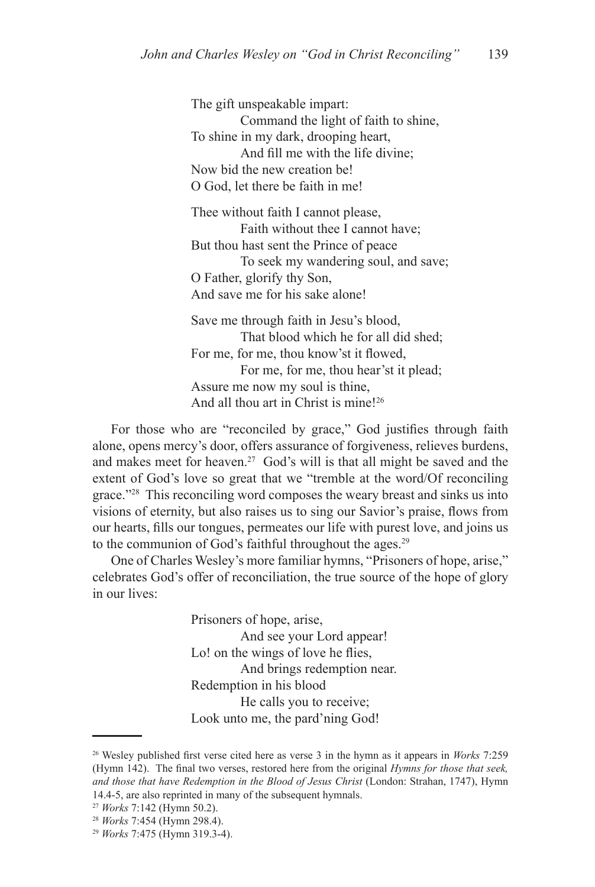The gift unspeakable impart: Command the light of faith to shine, To shine in my dark, drooping heart, And fill me with the life divine; Now bid the new creation be! O God, let there be faith in me!

 Thee without faith I cannot please, Faith without thee I cannot have; But thou hast sent the Prince of peace To seek my wandering soul, and save; O Father, glorify thy Son, And save me for his sake alone!

 Save me through faith in Jesu's blood, That blood which he for all did shed; For me, for me, thou know'st it flowed, For me, for me, thou hear'st it plead; Assure me now my soul is thine, And all thou art in Christ is mine!26

For those who are "reconciled by grace," God justifies through faith alone, opens mercy's door, offers assurance of forgiveness, relieves burdens, and makes meet for heaven.<sup>27</sup> God's will is that all might be saved and the extent of God's love so great that we "tremble at the word/Of reconciling grace."28 This reconciling word composes the weary breast and sinks us into visions of eternity, but also raises us to sing our Savior's praise, flows from our hearts, fills our tongues, permeates our life with purest love, and joins us to the communion of God's faithful throughout the ages.<sup>29</sup>

One of Charles Wesley's more familiar hymns, "Prisoners of hope, arise," celebrates God's offer of reconciliation, the true source of the hope of glory in our lives:

> Prisoners of hope, arise, And see your Lord appear! Lo! on the wings of love he flies, And brings redemption near. Redemption in his blood He calls you to receive; Look unto me, the pard'ning God!

<sup>26</sup> Wesley published first verse cited here as verse 3 in the hymn as it appears in *Works* 7:259 (Hymn 142). The final two verses, restored here from the original *Hymns for those that seek, and those that have Redemption in the Blood of Jesus Christ* (London: Strahan, 1747), Hymn 14.4-5, are also reprinted in many of the subsequent hymnals.

<sup>27</sup> *Works* 7:142 (Hymn 50.2).

<sup>28</sup> *Works* 7:454 (Hymn 298.4).

<sup>29</sup> *Works* 7:475 (Hymn 319.3-4).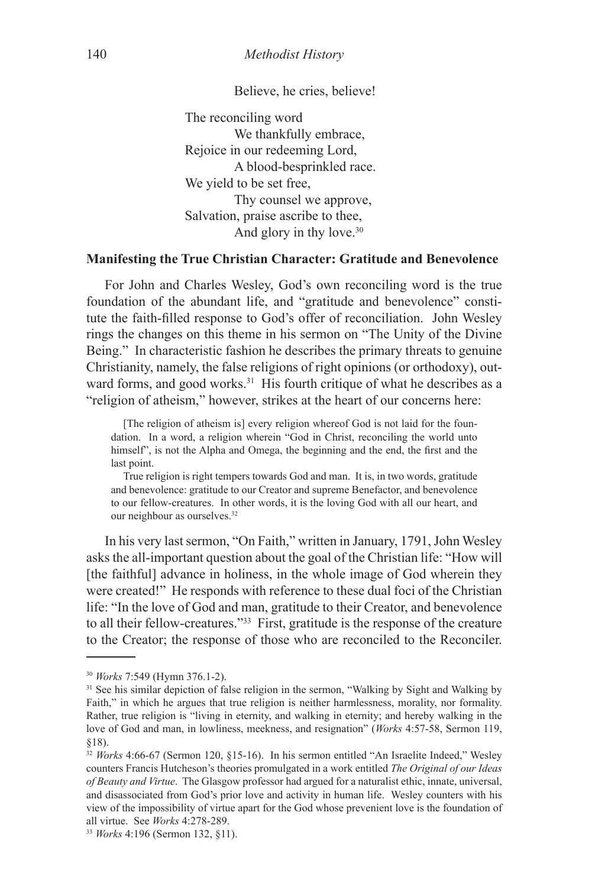Believe, he cries, believe!

 The reconciling word We thankfully embrace, Rejoice in our redeeming Lord, A blood-besprinkled race. We yield to be set free, Thy counsel we approve, Salvation, praise ascribe to thee, And glory in thy love.<sup>30</sup>

# **Manifesting the True Christian Character: Gratitude and Benevolence**

For John and Charles Wesley, God's own reconciling word is the true foundation of the abundant life, and "gratitude and benevolence" constitute the faith-filled response to God's offer of reconciliation. John Wesley rings the changes on this theme in his sermon on "The Unity of the Divine Being." In characteristic fashion he describes the primary threats to genuine Christianity, namely, the false religions of right opinions (or orthodoxy), outward forms, and good works. $31$  His fourth critique of what he describes as a "religion of atheism," however, strikes at the heart of our concerns here:

[The religion of atheism is] every religion whereof God is not laid for the foundation. In a word, a religion wherein "God in Christ, reconciling the world unto himself", is not the Alpha and Omega, the beginning and the end, the first and the last point.

True religion is right tempers towards God and man. It is, in two words, gratitude and benevolence: gratitude to our Creator and supreme Benefactor, and benevolence to our fellow-creatures. In other words, it is the loving God with all our heart, and our neighbour as ourselves.32

In his very last sermon, "On Faith," written in January, 1791, John Wesley asks the all-important question about the goal of the Christian life: "How will [the faithful] advance in holiness, in the whole image of God wherein they were created!" He responds with reference to these dual foci of the Christian life: "In the love of God and man, gratitude to their Creator, and benevolence to all their fellow-creatures."33 First, gratitude is the response of the creature to the Creator; the response of those who are reconciled to the Reconciler.

<sup>30</sup> *Works* 7:549 (Hymn 376.1-2).

<sup>&</sup>lt;sup>31</sup> See his similar depiction of false religion in the sermon, "Walking by Sight and Walking by Faith," in which he argues that true religion is neither harmlessness, morality, nor formality. Rather, true religion is "living in eternity, and walking in eternity; and hereby walking in the love of God and man, in lowliness, meekness, and resignation" (*Works* 4:57-58, Sermon 119, §18).

<sup>&</sup>lt;sup>32</sup> Works 4:66-67 (Sermon 120, §15-16). In his sermon entitled "An Israelite Indeed," Wesley counters Francis Hutcheson's theories promulgated in a work entitled *The Original of our Ideas of Beauty and Virtue*. The Glasgow professor had argued for a naturalist ethic, innate, universal, and disassociated from God's prior love and activity in human life. Wesley counters with his view of the impossibility of virtue apart for the God whose prevenient love is the foundation of all virtue. See *Works* 4:278-289.

<sup>33</sup> *Works* 4:196 (Sermon 132, §11).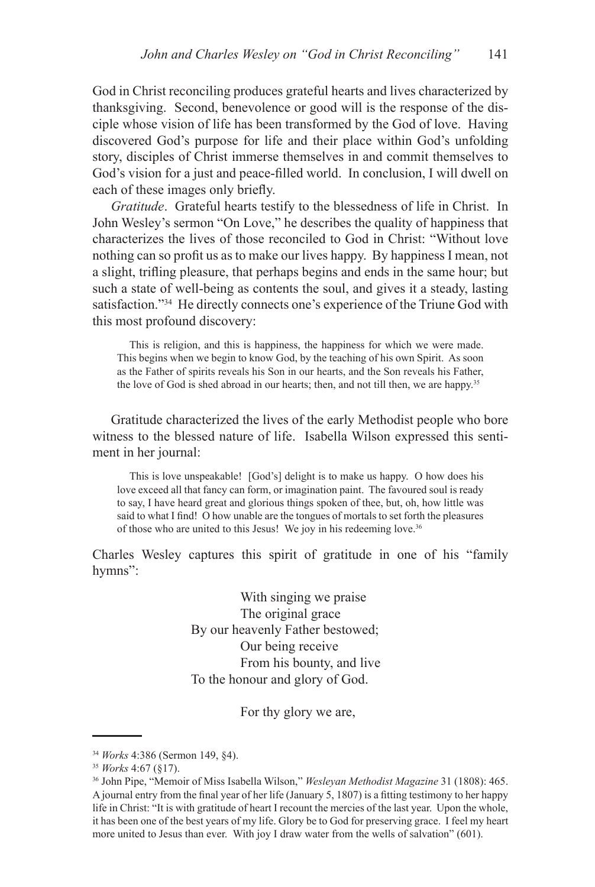God in Christ reconciling produces grateful hearts and lives characterized by thanksgiving. Second, benevolence or good will is the response of the disciple whose vision of life has been transformed by the God of love. Having discovered God's purpose for life and their place within God's unfolding story, disciples of Christ immerse themselves in and commit themselves to God's vision for a just and peace-filled world. In conclusion, I will dwell on each of these images only briefly.

*Gratitude*. Grateful hearts testify to the blessedness of life in Christ. In John Wesley's sermon "On Love," he describes the quality of happiness that characterizes the lives of those reconciled to God in Christ: "Without love nothing can so profit us as to make our lives happy. By happiness I mean, not a slight, trifling pleasure, that perhaps begins and ends in the same hour; but such a state of well-being as contents the soul, and gives it a steady, lasting satisfaction."<sup>34</sup> He directly connects one's experience of the Triune God with this most profound discovery:

This is religion, and this is happiness, the happiness for which we were made. This begins when we begin to know God, by the teaching of his own Spirit. As soon as the Father of spirits reveals his Son in our hearts, and the Son reveals his Father, the love of God is shed abroad in our hearts; then, and not till then, we are happy.<sup>35</sup>

Gratitude characterized the lives of the early Methodist people who bore witness to the blessed nature of life. Isabella Wilson expressed this sentiment in her journal:

This is love unspeakable! [God's] delight is to make us happy. O how does his love exceed all that fancy can form, or imagination paint. The favoured soul is ready to say, I have heard great and glorious things spoken of thee, but, oh, how little was said to what I find! O how unable are the tongues of mortals to set forth the pleasures of those who are united to this Jesus! We joy in his redeeming love.36

Charles Wesley captures this spirit of gratitude in one of his "family hymns":

> With singing we praise The original grace By our heavenly Father bestowed; Our being receive From his bounty, and live To the honour and glory of God.

> > For thy glory we are,

<sup>34</sup> *Works* 4:386 (Sermon 149, §4).

<sup>35</sup> *Works* 4:67 (§17).

<sup>36</sup> John Pipe, "Memoir of Miss Isabella Wilson," *Wesleyan Methodist Magazine* 31 (1808): 465. A journal entry from the final year of her life (January 5, 1807) is a fitting testimony to her happy life in Christ: "It is with gratitude of heart I recount the mercies of the last year. Upon the whole, it has been one of the best years of my life. Glory be to God for preserving grace. I feel my heart more united to Jesus than ever. With joy I draw water from the wells of salvation" (601).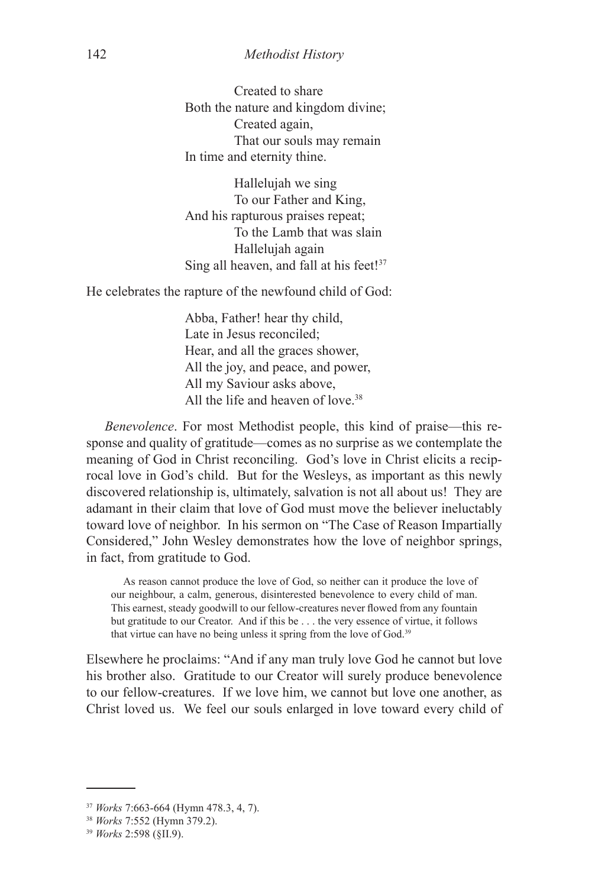Created to share Both the nature and kingdom divine; Created again, That our souls may remain In time and eternity thine.

 Hallelujah we sing To our Father and King, And his rapturous praises repeat; To the Lamb that was slain Hallelujah again Sing all heaven, and fall at his feet!<sup>37</sup>

He celebrates the rapture of the newfound child of God:

Abba, Father! hear thy child, Late in Jesus reconciled; Hear, and all the graces shower, All the joy, and peace, and power, All my Saviour asks above, All the life and heaven of love<sup>38</sup>

*Benevolence*. For most Methodist people, this kind of praise—this response and quality of gratitude—comes as no surprise as we contemplate the meaning of God in Christ reconciling. God's love in Christ elicits a reciprocal love in God's child. But for the Wesleys, as important as this newly discovered relationship is, ultimately, salvation is not all about us! They are adamant in their claim that love of God must move the believer ineluctably toward love of neighbor. In his sermon on "The Case of Reason Impartially Considered," John Wesley demonstrates how the love of neighbor springs, in fact, from gratitude to God.

As reason cannot produce the love of God, so neither can it produce the love of our neighbour, a calm, generous, disinterested benevolence to every child of man. This earnest, steady goodwill to our fellow-creatures never flowed from any fountain but gratitude to our Creator. And if this be . . . the very essence of virtue, it follows that virtue can have no being unless it spring from the love of God.39

Elsewhere he proclaims: "And if any man truly love God he cannot but love his brother also. Gratitude to our Creator will surely produce benevolence to our fellow-creatures. If we love him, we cannot but love one another, as Christ loved us. We feel our souls enlarged in love toward every child of

<sup>37</sup> *Works* 7:663-664 (Hymn 478.3, 4, 7).

<sup>38</sup> *Works* 7:552 (Hymn 379.2).

<sup>39</sup> *Works* 2:598 (§II.9).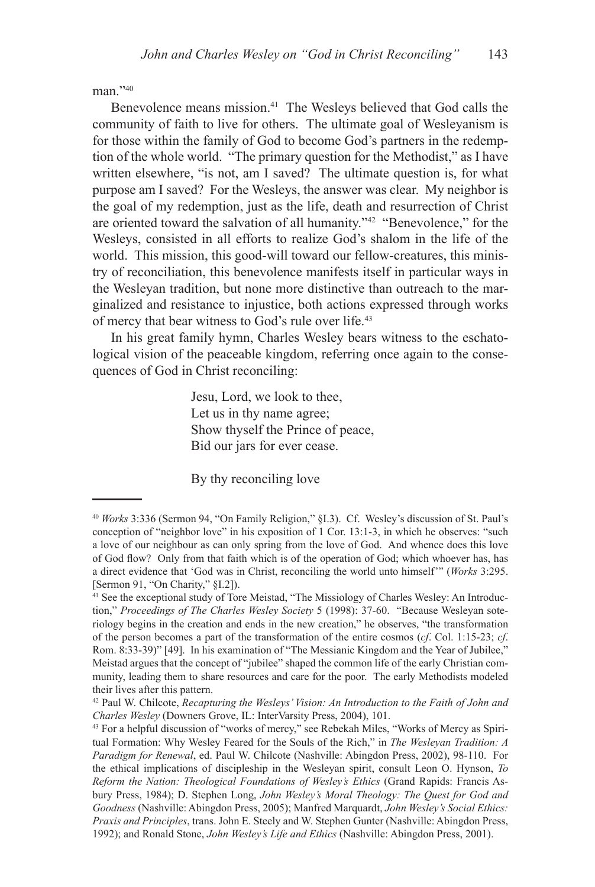man<sup>240</sup>

Benevolence means mission.<sup>41</sup> The Wesleys believed that God calls the community of faith to live for others. The ultimate goal of Wesleyanism is for those within the family of God to become God's partners in the redemption of the whole world. "The primary question for the Methodist," as I have written elsewhere, "is not, am I saved? The ultimate question is, for what purpose am I saved? For the Wesleys, the answer was clear. My neighbor is the goal of my redemption, just as the life, death and resurrection of Christ are oriented toward the salvation of all humanity."42 "Benevolence," for the Wesleys, consisted in all efforts to realize God's shalom in the life of the world. This mission, this good-will toward our fellow-creatures, this ministry of reconciliation, this benevolence manifests itself in particular ways in the Wesleyan tradition, but none more distinctive than outreach to the marginalized and resistance to injustice, both actions expressed through works of mercy that bear witness to God's rule over life.43

In his great family hymn, Charles Wesley bears witness to the eschatological vision of the peaceable kingdom, referring once again to the consequences of God in Christ reconciling:

> Jesu, Lord, we look to thee, Let us in thy name agree; Show thyself the Prince of peace, Bid our jars for ever cease.

By thy reconciling love

<sup>40</sup> *Works* 3:336 (Sermon 94, "On Family Religion," §I.3). Cf. Wesley's discussion of St. Paul's conception of "neighbor love" in his exposition of 1 Cor. 13:1-3, in which he observes: "such a love of our neighbour as can only spring from the love of God. And whence does this love of God flow? Only from that faith which is of the operation of God; which whoever has, has a direct evidence that 'God was in Christ, reconciling the world unto himself'" (*Works* 3:295. [Sermon 91, "On Charity," §I.2]).

<sup>41</sup> See the exceptional study of Tore Meistad, "The Missiology of Charles Wesley: An Introduction," *Proceedings of The Charles Wesley Society* 5 (1998): 37-60. "Because Wesleyan soteriology begins in the creation and ends in the new creation," he observes, "the transformation of the person becomes a part of the transformation of the entire cosmos (*cf*. Col. 1:15-23; *cf*. Rom. 8:33-39)" [49]. In his examination of "The Messianic Kingdom and the Year of Jubilee," Meistad argues that the concept of "jubilee" shaped the common life of the early Christian community, leading them to share resources and care for the poor. The early Methodists modeled their lives after this pattern.

<sup>42</sup> Paul W. Chilcote, *Recapturing the Wesleys' Vision: An Introduction to the Faith of John and Charles Wesley* (Downers Grove, IL: InterVarsity Press, 2004), 101.

<sup>43</sup> For a helpful discussion of "works of mercy," see Rebekah Miles, "Works of Mercy as Spiritual Formation: Why Wesley Feared for the Souls of the Rich," in *The Wesleyan Tradition: A Paradigm for Renewal*, ed. Paul W. Chilcote (Nashville: Abingdon Press, 2002), 98-110. For the ethical implications of discipleship in the Wesleyan spirit, consult Leon O. Hynson, *To Reform the Nation: Theological Foundations of Wesley's Ethics* (Grand Rapids: Francis Asbury Press, 1984); D. Stephen Long, *John Wesley's Moral Theology: The Quest for God and Goodness* (Nashville: Abingdon Press, 2005); Manfred Marquardt, *John Wesley's Social Ethics: Praxis and Principles*, trans. John E. Steely and W. Stephen Gunter (Nashville: Abingdon Press, 1992); and Ronald Stone, *John Wesley's Life and Ethics* (Nashville: Abingdon Press, 2001).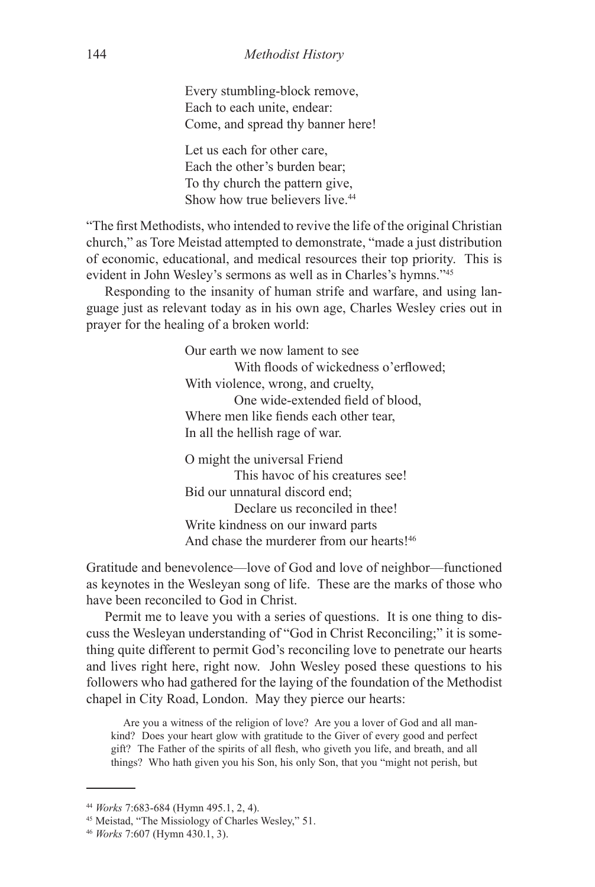Every stumbling-block remove, Each to each unite, endear: Come, and spread thy banner here!

 Let us each for other care, Each the other's burden bear; To thy church the pattern give, Show how true believers live.<sup>44</sup>

"The first Methodists, who intended to revive the life of the original Christian church," as Tore Meistad attempted to demonstrate, "made a just distribution of economic, educational, and medical resources their top priority. This is evident in John Wesley's sermons as well as in Charles's hymns."45

Responding to the insanity of human strife and warfare, and using language just as relevant today as in his own age, Charles Wesley cries out in prayer for the healing of a broken world:

> Our earth we now lament to see With floods of wickedness o'erflowed; With violence, wrong, and cruelty, One wide-extended field of blood, Where men like fiends each other tear, In all the hellish rage of war.

 O might the universal Friend This havoc of his creatures see! Bid our unnatural discord end; Declare us reconciled in thee! Write kindness on our inward parts And chase the murderer from our hearts!<sup>46</sup>

Gratitude and benevolence—love of God and love of neighbor—functioned as keynotes in the Wesleyan song of life. These are the marks of those who have been reconciled to God in Christ.

Permit me to leave you with a series of questions. It is one thing to discuss the Wesleyan understanding of "God in Christ Reconciling;" it is something quite different to permit God's reconciling love to penetrate our hearts and lives right here, right now. John Wesley posed these questions to his followers who had gathered for the laying of the foundation of the Methodist chapel in City Road, London. May they pierce our hearts:

Are you a witness of the religion of love? Are you a lover of God and all mankind? Does your heart glow with gratitude to the Giver of every good and perfect gift? The Father of the spirits of all flesh, who giveth you life, and breath, and all things? Who hath given you his Son, his only Son, that you "might not perish, but

<sup>44</sup> *Works* 7:683-684 (Hymn 495.1, 2, 4).

<sup>45</sup> Meistad, "The Missiology of Charles Wesley," 51.

<sup>46</sup> *Works* 7:607 (Hymn 430.1, 3).